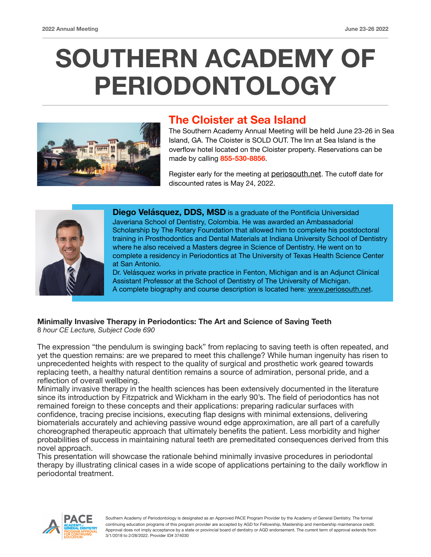# **SOUTHERN ACADEMY OF PERIODONTOLOGY**



## **The Cloister at Sea Island**

The Southern Academy Annual Meeting will be held June 23-26 in Sea Island, GA. The Cloister is SOLD OUT. The Inn at Sea Island is the overflow hotel located on the Cloister property. Reservations can be made by calling **855-530-8856**.

Register early for the meeting at [periosouth.net](http://periosouth.net). The cutoff date for discounted rates is May 24, 2022.



**Diego Velásquez, DDS, MSD** is a graduate of the Pontificia Universidad Javeriana School of Dentistry, Colombia. He was awarded an Ambassadorial Scholarship by The Rotary Foundation that allowed him to complete his postdoctoral training in Prosthodontics and Dental Materials at Indiana University School of Dentistry where he also received a Masters degree in Science of Dentistry. He went on to complete a residency in Periodontics at The University of Texas Health Science Center at San Antonio.

Dr. Velásquez works in private practice in Fenton, Michigan and is an Adjunct Clinical Assistant Professor at the School of Dentistry of The University of Michigan. A complete biography and course description is located here: [www.periosouth.net](http://www.periosouth.net).

## **Minimally Invasive Therapy in Periodontics: The Art and Science of Saving Teeth**

8 *hour CE Lecture, Subject Code 690* 

The expression "the pendulum is swinging back" from replacing to saving teeth is often repeated, and yet the question remains: are we prepared to meet this challenge? While human ingenuity has risen to unprecedented heights with respect to the quality of surgical and prosthetic work geared towards replacing teeth, a healthy natural dentition remains a source of admiration, personal pride, and a reflection of overall wellbeing.

Minimally invasive therapy in the health sciences has been extensively documented in the literature since its introduction by Fitzpatrick and Wickham in the early 90's. The field of periodontics has not remained foreign to these concepts and their applications: preparing radicular surfaces with confidence, tracing precise incisions, executing flap designs with minimal extensions, delivering biomaterials accurately and achieving passive wound edge approximation, are all part of a carefully choreographed therapeutic approach that ultimately benefits the patient. Less morbidity and higher probabilities of success in maintaining natural teeth are premeditated consequences derived from this novel approach.

This presentation will showcase the rationale behind minimally invasive procedures in periodontal therapy by illustrating clinical cases in a wide scope of applications pertaining to the daily workflow in periodontal treatment.



Southern Academy of Periodontology is designated as an Approved PACE Program Provider by the Academy of General Dentistry. The formal continuing education programs of this program provider are accepted by AGD for Fellowship, Mastership and membership maintenance credit. Approval does not imply acceptance by a state or provincial board of dentistry or AGD endorsement. The current term of approval extends from 3/1/2018 to 2/28/2022. Provider ID# 374030